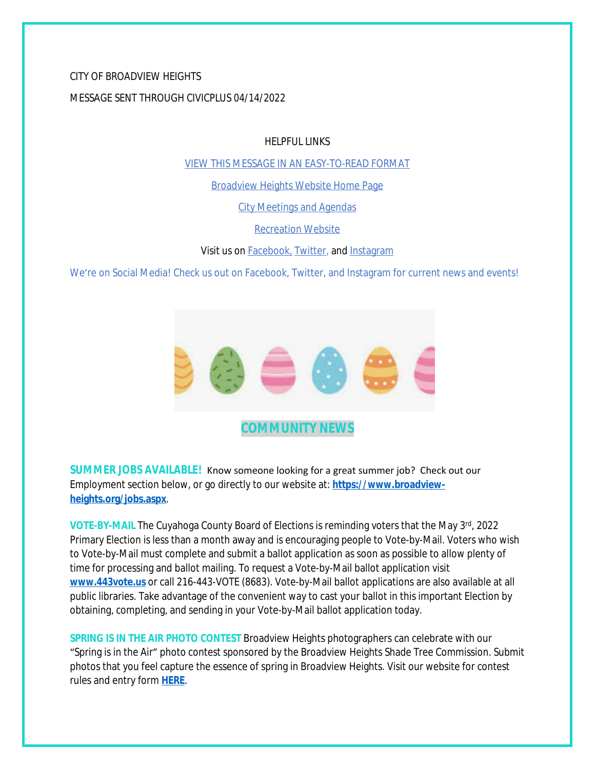# CITY OF BROADVIEW HEIGHTS MESSAGE SENT THROUGH CIVICPLUS 04/14/2022

HELPFUL LINKS

[VIEW THIS MESSAGE IN AN EASY-TO-READ FORMAT](https://www.broadview-heights.org/Archive.aspx?AMID=37)

[Broadview Heights Website Home Page](https://www.broadview-heights.org/)

[City Meetings and Agendas](https://www.broadview-heights.org/1126/Agendas-Meeting-Minutes)

[Recreation Website](https://broadview-heights.org/292/Parks-Recreation)

Visit us on **Facebook**, [Twitter,](https://twitter.com/broadviewhts) and [Instagram](https://www.instagram.com/cityofbroadviewheights/)

We're on Social Media! Check us out on Facebook, Twitter, and Instagram for current news and events!



**SUMMER JOBS AVAILABLE!** Know someone looking for a great summer job? Check out our Employment section below, or go directly to our website at: **[https://www.broadview](https://www.broadview-heights.org/jobs.aspx)heights.org/jobs.aspx**.

**VOTE-BY-MAIL** The Cuyahoga County Board of Elections is reminding voters that the May 3rd, 2022 Primary Election is less than a month away and is encouraging people to Vote-by-Mail. Voters who wish to Vote-by-Mail must complete and submit a ballot application as soon as possible to allow plenty of time for processing and ballot mailing. To request a Vote-by-Mail ballot application visit **[www.443vote.us](http://www.443vote.us)** or call 216-443-VOTE (8683). Vote-by-Mail ballot applications are also available at all public libraries. Take advantage of the convenient way to cast your ballot in this important Election by obtaining, completing, and sending in your Vote-by-Mail ballot application today.

**SPRING IS IN THE AIR PHOTO CONTEST** Broadview Heights photographers can celebrate with our "Spring is in the Air" photo contest sponsored by the Broadview Heights Shade Tree Commission. Submit photos that you feel capture the essence of spring in Broadview Heights. Visit our website for contest rules and entry form **[HERE](https://broadview-heights.org/1524/Spring-Photo-Contest)**.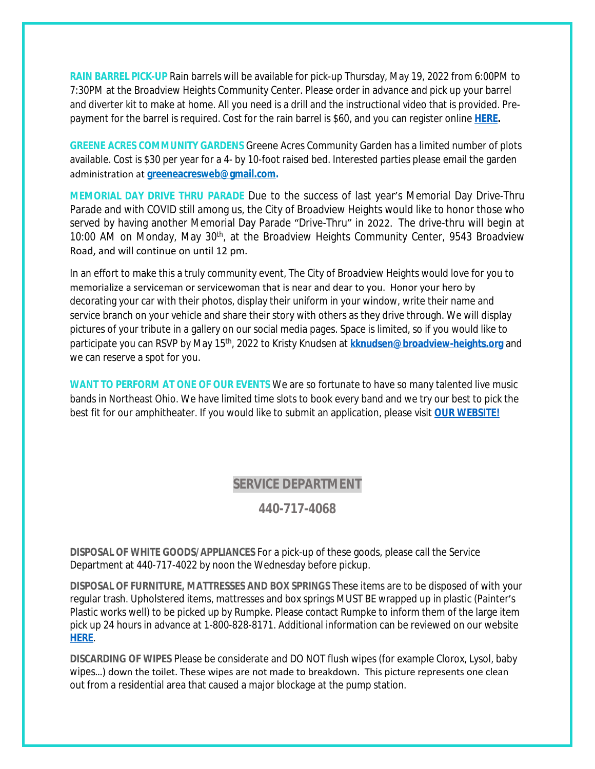**RAIN BARREL PICK-UP** Rain barrels will be available for pick-up Thursday, May 19, 2022 from 6:00PM to 7:30PM at the Broadview Heights Community Center. Please order in advance and pick up your barrel and diverter kit to make at home. All you need is a drill and the instructional video that is provided. Prepayment for the barrel is required. Cost for the rain barrel is \$60, and you can register online **[HERE](https://cuyahogaswcd.org/events/2022/05/19/rain-barrel-pick-up--broadview-heights).**

**GREENE ACRES COMMUNITY GARDENS** Greene Acres Community Garden has a limited number of plots available. Cost is \$30 per year for a 4- by 10-foot raised bed. Interested parties please email the garden administration at **[greeneacresweb@gmail.com.](mailto:greeneacresweb@gmail.com)**

**MEMORIAL DAY DRIVE THRU PARADE** Due to the success of last year's Memorial Day Drive-Thru Parade and with COVID still among us, the City of Broadview Heights would like to honor those who served by having another Memorial Day Parade "Drive-Thru" in 2022. The drive-thru will begin at 10:00 AM on Monday, May 30<sup>th</sup>, at the Broadview Heights Community Center, 9543 Broadview Road, and will continue on until 12 pm.

In an effort to make this a truly community event, The City of Broadview Heights would love for you to memorialize a serviceman or servicewoman that is near and dear to you. Honor your hero by decorating your car with their photos, display their uniform in your window, write their name and service branch on your vehicle and share their story with others as they drive through. We will display pictures of your tribute in a gallery on our social media pages. Space is limited, so if you would like to participate you can RSVP by May 15th, 2022 to Kristy Knudsen at **[kknudsen@broadview-heights.org](mailto:kknudsen@broadview-heights.org)** and we can reserve a spot for you.

**WANT TO PERFORM AT ONE OF OUR EVENTS** We are so fortunate to have so many talented live music bands in Northeast Ohio. We have limited time slots to book every band and we try our best to pick the best fit for our amphitheater. If you would like to submit an application, please visit **[OUR WEBSITE!](https://broadview-heights.org/FormCenter/Mayors-Office-14/Band-Inquiry-Form-122)**

### **SERVICE DEPARTMENT**

### **440-717-4068**

**DISPOSAL OF WHITE GOODS/APPLIANCES** For a pick-up of these goods, please call the Service Department at 440-717-4022 by noon the Wednesday before pickup.

**DISPOSAL OF FURNITURE, MATTRESSES AND BOX SPRINGS** These items are to be disposed of with your regular trash. Upholstered items, mattresses and box springs MUST BE wrapped up in plastic (Painter's Plastic works well) to be picked up by Rumpke. Please contact Rumpke to inform them of the large item pick up 24 hours in advance at 1-800-828-8171. Additional information can be reviewed on our website **[HERE](https://www.broadview-heights.org/1027/Garbage-Recycling)**.

**DISCARDING OF WIPES** Please be considerate and DO NOT flush wipes (for example Clorox, Lysol, baby wipes…) down the toilet. These wipes are not made to breakdown. This picture represents one clean out from a residential area that caused a major blockage at the pump station.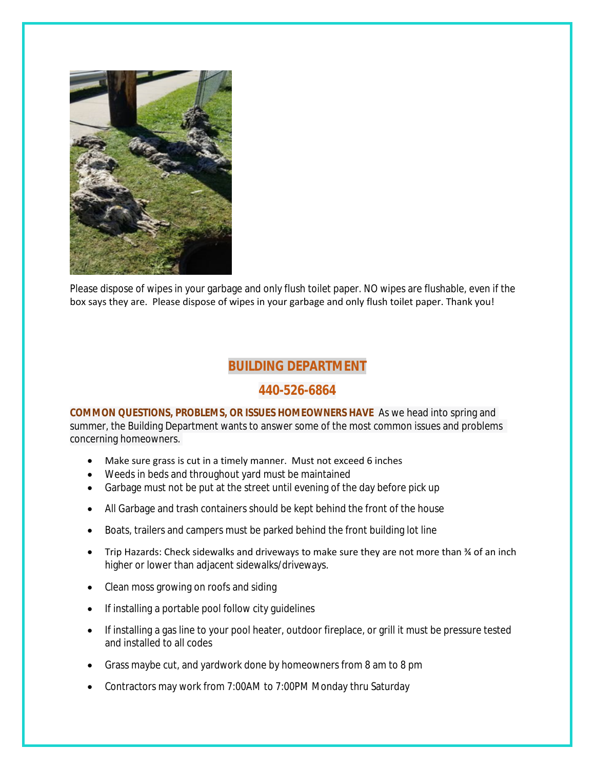

Please dispose of wipes in your garbage and only flush toilet paper. NO wipes are flushable, even if the box says they are. Please dispose of wipes in your garbage and only flush toilet paper. Thank you!

## **BUILDING DEPARTMENT**

## **440-526-6864**

**COMMON QUESTIONS, PROBLEMS, OR ISSUES HOMEOWNERS HAVE** As we head into spring and summer, the Building Department wants to answer some of the most common issues and problems concerning homeowners.

- Make sure grass is cut in a timely manner. Must not exceed 6 inches
- Weeds in beds and throughout yard must be maintained
- Garbage must not be put at the street until evening of the day before pick up
- All Garbage and trash containers should be kept behind the front of the house
- Boats, trailers and campers must be parked behind the front building lot line
- Trip Hazards: Check sidewalks and driveways to make sure they are not more than  $\frac{3}{4}$  of an inch higher or lower than adjacent sidewalks/driveways.
- Clean moss growing on roofs and siding
- If installing a portable pool follow city guidelines
- If installing a gas line to your pool heater, outdoor fireplace, or grill it must be pressure tested and installed to all codes
- Grass maybe cut, and yardwork done by homeowners from 8 am to 8 pm
- Contractors may work from 7:00AM to 7:00PM Monday thru Saturday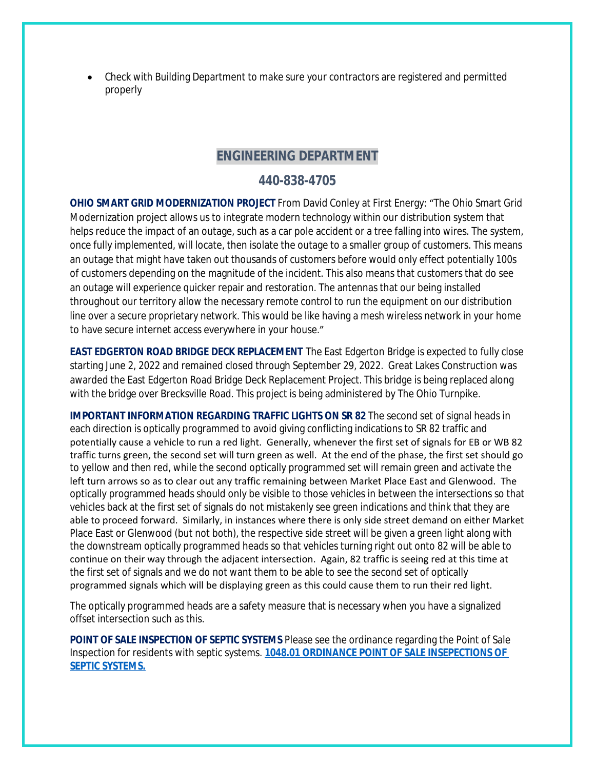Check with Building Department to make sure your contractors are registered and permitted properly

## **ENGINEERING DEPARTMENT**

## **440-838-4705**

**OHIO SMART GRID MODERNIZATION PROJECT** From David Conley at First Energy: "The Ohio Smart Grid Modernization project allows us to integrate modern technology within our distribution system that helps reduce the impact of an outage, such as a car pole accident or a tree falling into wires. The system, once fully implemented, will locate, then isolate the outage to a smaller group of customers. This means an outage that might have taken out thousands of customers before would only effect potentially 100s of customers depending on the magnitude of the incident. This also means that customers that do see an outage will experience quicker repair and restoration. The antennas that our being installed throughout our territory allow the necessary remote control to run the equipment on our distribution line over a secure proprietary network. This would be like having a mesh wireless network in your home to have secure internet access everywhere in your house."

**EAST EDGERTON ROAD BRIDGE DECK REPLACEMENT** The East Edgerton Bridge is expected to fully close starting June 2, 2022 and remained closed through September 29, 2022. Great Lakes Construction was awarded the East Edgerton Road Bridge Deck Replacement Project. This bridge is being replaced along with the bridge over Brecksville Road. This project is being administered by The Ohio Turnpike.

**IMPORTANT INFORMATION REGARDING TRAFFIC LIGHTS ON SR 82** The second set of signal heads in each direction is optically programmed to avoid giving conflicting indications to SR 82 traffic and potentially cause a vehicle to run a red light. Generally, whenever the first set of signals for EB or WB 82 traffic turns green, the second set will turn green as well. At the end of the phase, the first set should go to yellow and then red, while the second optically programmed set will remain green and activate the left turn arrows so as to clear out any traffic remaining between Market Place East and Glenwood. The optically programmed heads should only be visible to those vehicles in between the intersections so that vehicles back at the first set of signals do not mistakenly see green indications and think that they are able to proceed forward. Similarly, in instances where there is only side street demand on either Market Place East or Glenwood (but not both), the respective side street will be given a green light along with the downstream optically programmed heads so that vehicles turning right out onto 82 will be able to continue on their way through the adjacent intersection. Again, 82 traffic is seeing red at this time at the first set of signals and we do not want them to be able to see the second set of optically programmed signals which will be displaying green as this could cause them to run their red light.

The optically programmed heads are a safety measure that is necessary when you have a signalized offset intersection such as this.

**POINT OF SALE INSPECTION OF SEPTIC SYSTEMS** Please see the ordinance regarding the Point of Sale Inspection for residents with septic systems. **[1048.01 ORDINANCE POINT OF SALE INSEPECTIONS OF](https://codelibrary.amlegal.com/codes/broadviewhts/latest/broadview_oh/0-0-0-13398)  SEPTIC SYSTEMS.**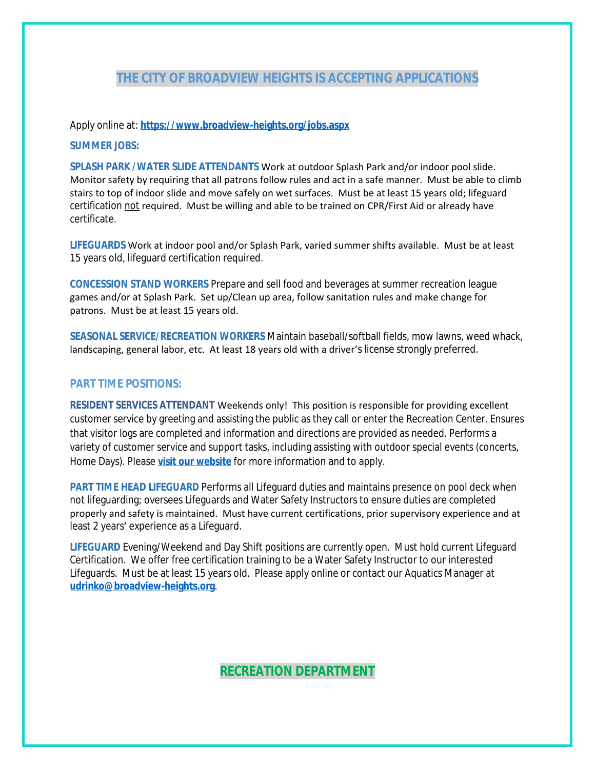## **THE CITY OF BROADVIEW HEIGHTS IS ACCEPTING APPLICATIONS**

Apply online at: **<https://www.broadview-heights.org/jobs.aspx>**

#### **SUMMER JOBS:**

**SPLASH PARK /WATER SLIDE ATTENDANTS** Work at outdoor Splash Park and/or indoor pool slide. Monitor safety by requiring that all patrons follow rules and act in a safe manner. Must be able to climb stairs to top of indoor slide and move safely on wet surfaces. Must be at least 15 years old; lifeguard certification not required. Must be willing and able to be trained on CPR/First Aid or already have certificate.

**LIFEGUARDS** Work at indoor pool and/or Splash Park, varied summer shifts available. Must be at least 15 years old, lifeguard certification required.

**CONCESSION STAND WORKERS** Prepare and sell food and beverages at summer recreation league games and/or at Splash Park. Set up/Clean up area, follow sanitation rules and make change for patrons. Must be at least 15 years old.

**SEASONAL SERVICE/RECREATION WORKERS** Maintain baseball/softball fields, mow lawns, weed whack, landscaping, general labor, etc. At least 18 years old with a driver's license strongly preferred.

#### **PART TIME POSITIONS:**

**RESIDENT SERVICES ATTENDANT** Weekends only! This position is responsible for providing excellent customer service by greeting and assisting the public as they call or enter the Recreation Center. Ensures that visitor logs are completed and information and directions are provided as needed. Performs a variety of customer service and support tasks, including assisting with outdoor special events (concerts, Home Days). Please **[visit our website](https://www.broadview-heights.org/Jobs.aspx?UniqueId=98&From=98&CommunityJobs=False&JobID=Resident-Services-Attendant-135)** for more information and to apply.

**PART TIME HEAD LIFEGUARD** Performs all Lifeguard duties and maintains presence on pool deck when not lifeguarding; oversees Lifeguards and Water Safety Instructors to ensure duties are completed properly and safety is maintained. Must have current certifications, prior supervisory experience and at least 2 years' experience as a Lifeguard.

**LIFEGUARD** Evening/Weekend and Day Shift positions are currently open. Must hold current Lifeguard Certification. We offer free certification training to be a Water Safety Instructor to our interested Lifeguards. Must be at least 15 years old. Please apply online or contact our Aquatics Manager at **[udrinko@broadview-heights.org](mailto:udrinko@broadview-heights.org)**.

### **RECREATION DEPARTMENT**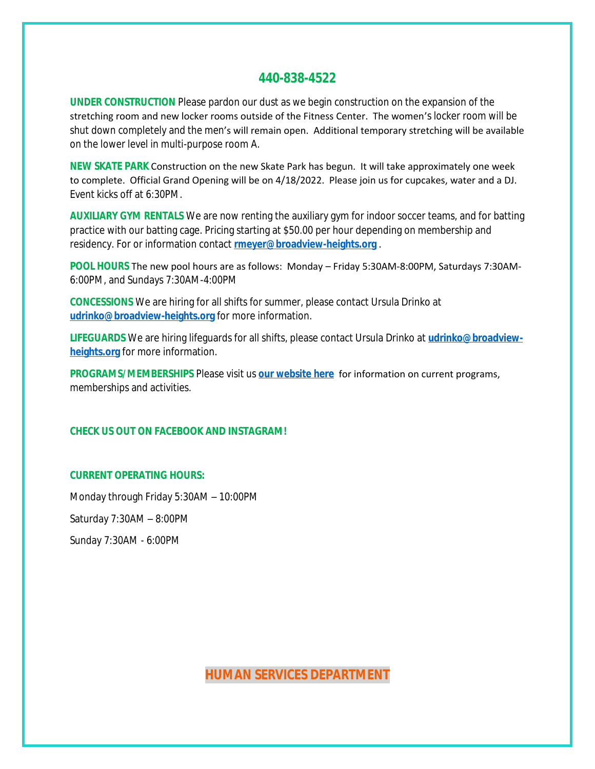## **440-838-4522**

**UNDER CONSTRUCTION** Please pardon our dust as we begin construction on the expansion of the stretching room and new locker rooms outside of the Fitness Center. The women's locker room will be shut down completely and the men's will remain open. Additional temporary stretching will be available on the lower level in multi-purpose room A.

**NEW SKATE PARK** Construction on the new Skate Park has begun. It will take approximately one week to complete. Official Grand Opening will be on 4/18/2022. Please join us for cupcakes, water and a DJ. Event kicks off at 6:30PM.

**AUXILIARY GYM RENTALS** We are now renting the auxiliary gym for indoor soccer teams, and for batting practice with our batting cage. Pricing starting at \$50.00 per hour depending on membership and residency. For or information contact **[rmeyer@broadview-heights.org](mailto:rmeyer@broadview-heights.org)** .

**POOL HOURS** The new pool hours are as follows: Monday – Friday 5:30AM-8:00PM, Saturdays 7:30AM-6:00PM, and Sundays 7:30AM-4:00PM

**CONCESSIONS** We are hiring for all shifts for summer, please contact Ursula Drinko at **[udrinko@broadview-heights.org](mailto:udrinko@broadview-heights.org)** for more information.

**LIFEGUARDS** We are hiring lifeguards for all shifts, please contact Ursula Drinko at **[udrinko@broadview](mailto:udrinko@broadview-heights.org)heights.org** for more information.

**PROGRAMS/MEMBERSHIPS** Please visit us **[our website here](https://www.broadview-heights.org/292/Parks-Recreation)** for information on current programs, memberships and activities.

#### **CHECK US OUT ON FACEBOOK AND INSTAGRAM!**

#### **CURRENT OPERATING HOURS:**

Monday through Friday 5:30AM – 10:00PM Saturday 7:30AM – 8:00PM Sunday 7:30AM - 6:00PM

**HUMAN SERVICES DEPARTMENT**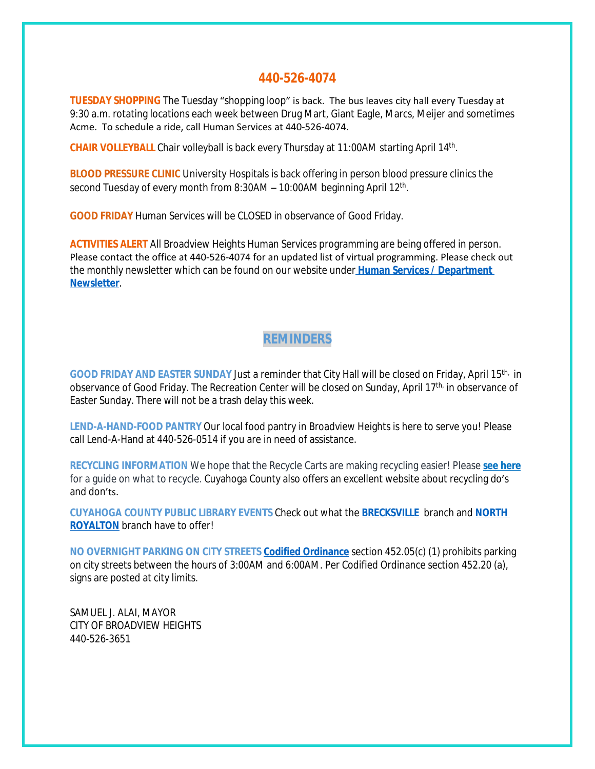### **440-526-4074**

**TUESDAY SHOPPING** The Tuesday "shopping loop" is back. The bus leaves city hall every Tuesday at 9:30 a.m. rotating locations each week between Drug Mart, Giant Eagle, Marcs, Meijer and sometimes Acme. To schedule a ride, call Human Services at 440-526-4074.

CHAIR VOLLEYBALL Chair volleyball is back every Thursday at 11:00AM starting April 14<sup>th</sup>.

**BLOOD PRESSURE CLINIC** University Hospitals is back offering in person blood pressure clinics the second Tuesday of every month from 8:30AM - 10:00AM beginning April 12<sup>th</sup>.

**GOOD FRIDAY** Human Services will be CLOSED in observance of Good Friday.

**ACTIVITIES ALERT** All Broadview Heights Human Services programming are being offered in person. Please contact the office at 440-526-4074 for an updated list of virtual programming. Please check out the monthly newsletter which can be found on our website under **[Human Services / Department](https://mycommunityonline.com/find/broadview-heights-senior-center)  Newsletter**.

## **REMINDERS**

**GOOD FRIDAY AND EASTER SUNDAY** Just a reminder that City Hall will be closed on Friday, April 15th, in observance of Good Friday. The Recreation Center will be closed on Sunday, April 17<sup>th,</sup> in observance of Easter Sunday. There will not be a trash delay this week.

**LEND-A-HAND-FOOD PANTRY** Our local food pantry in Broadview Heights is here to serve you! Please call Lend-A-Hand at 440-526-0514 if you are in need of assistance.

**RECYCLING INFORMATION** We hope that the Recycle Carts are making recycling easier! Please **[see here](https://broadview-heights.org/DocumentCenter/View/9125/Curbside-Recycling-in-Broadview-Heights-010622)** for a guide on what to recycle. Cuyahoga County also offers an excellent website about recycling do's and don'ts.

**CUYAHOGA COUNTY PUBLIC LIBRARY EVENTS** Check out what the **[BRECKSVILLE](https://attend.cuyahogalibrary.org/events?r=thismonth)** branch and **[NORTH](https://attend.cuyahogalibrary.org/events?r=thismonth)  ROYALTON** branch have to offer!

**NO OVERNIGHT PARKING ON CITY STREETS [Codified Ordinance](http://library.amlegal.com/nxt/gateway.dll/Ohio/broadviewhts/codifiedordinancesofbroadviewheightsohio?f=templates$fn=default.htm$3.0$vid=amlegal:broadviewhts_oh)** section 452.05(c) (1) prohibits parking on city streets between the hours of 3:00AM and 6:00AM. Per Codified Ordinance section 452.20 (a), signs are posted at city limits.

SAMUEL J. ALAI, MAYOR CITY OF BROADVIEW HEIGHTS 440-526-3651